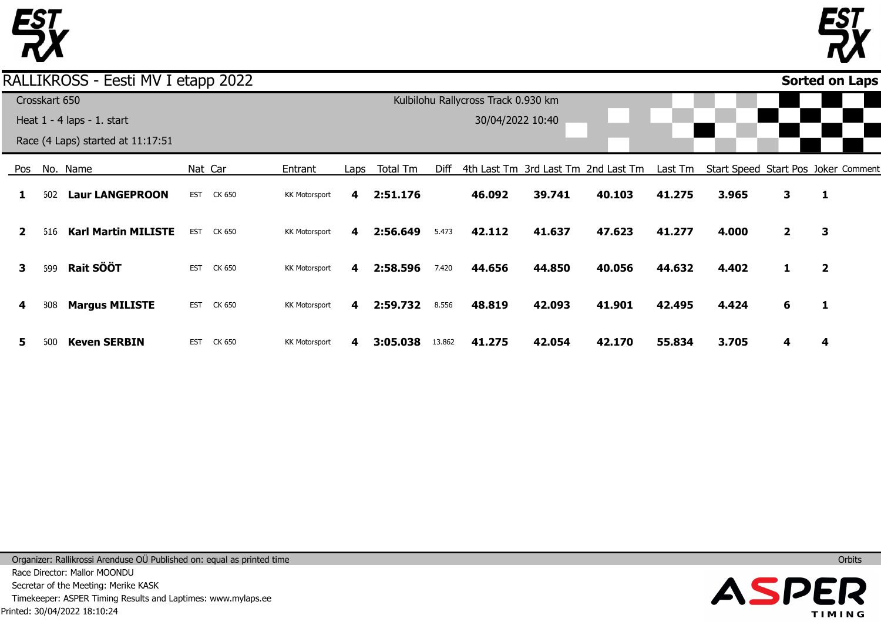



### Pos **1 2 3 4 5** No. Name 602 **Laur LANGEPROON** 616 **Karl Martin MILISTE** 699 808 600 **Rait SÖÖT Margus MILISTE Keven SERBIN** Nat Car EST CK 650 EST CK 650 EST CK 650 EST CK 650 EST CK 650 Entrant KK Motorsport KK Motorsport KK Motorsport KK Motorsport KK Motorsport Laps **4 4 4 4 4** Total Tm **2:51.176 2:56.649 2:58.596 2:59.732 3:05.038** Diff 4th Last Tm 3rd Last Tm 2nd Last Tm 5.473 7.420 8.556 13.862 **46.092 42.112 44.656 48.819 41.275 39.741 41.637 44.850 42.093 42.054 40.103 47.623 40.056 41.901 42.170** Last Tm Start Speed Start Pos Joker Comment **41.275 41.277 44.632 42.495 55.834 3.965 4.000 4.402 4.424 3.705 3 2 1 6 4 1 3 2 1 4 Sorted on Laps**RALLIKROSS - Eesti MV I etapp 2022 Crosskart 650 Heat 1 - 4 laps - 1. start Race (4 Laps) started at 11:17:51 Kulbilohu Rallycross Track 0.930 km 30/04/2022 10:40

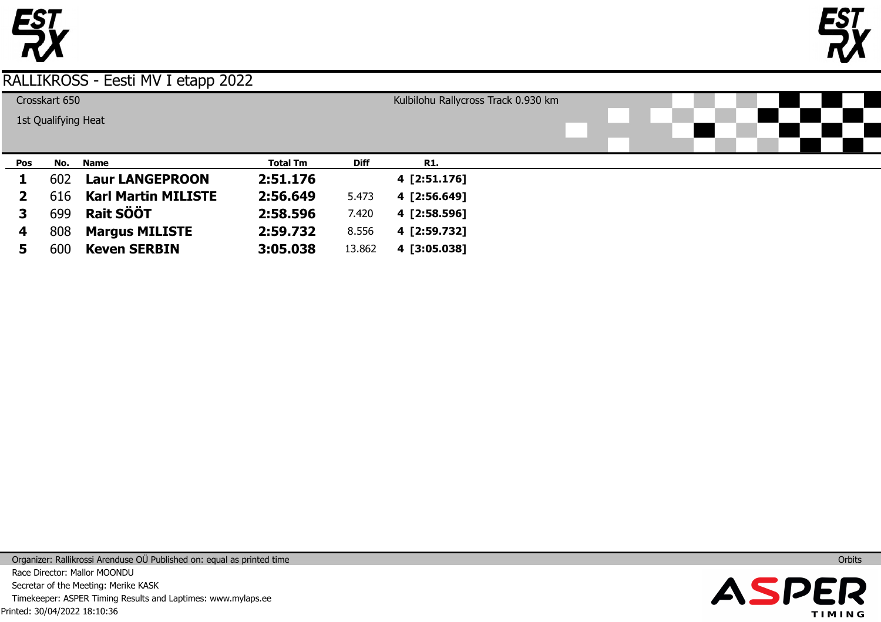



|                     | Crosskart 650 |     |                            |                 |             | Kulbilohu Rallycross Track 0.930 km |  |  |  |  |  |  |  |  |  |
|---------------------|---------------|-----|----------------------------|-----------------|-------------|-------------------------------------|--|--|--|--|--|--|--|--|--|
| 1st Qualifying Heat |               |     |                            |                 |             |                                     |  |  |  |  |  |  |  |  |  |
|                     |               |     |                            |                 |             |                                     |  |  |  |  |  |  |  |  |  |
|                     |               |     |                            |                 |             |                                     |  |  |  |  |  |  |  |  |  |
|                     | Pos           | No. | <b>Name</b>                | <b>Total Tm</b> | <b>Diff</b> | R1.                                 |  |  |  |  |  |  |  |  |  |
|                     |               | 602 | <b>Laur LANGEPROON</b>     | 2:51.176        |             | 4 [2:51.176]                        |  |  |  |  |  |  |  |  |  |
|                     |               | 616 | <b>Karl Martin MILISTE</b> | 2:56.649        | 5.473       | 4 [2:56.649]                        |  |  |  |  |  |  |  |  |  |
|                     |               | 699 | <b>Rait SÖÖT</b>           | 2:58.596        | 7.420       | 4 [2:58.596]                        |  |  |  |  |  |  |  |  |  |
|                     | 4             | 808 | <b>Margus MILISTE</b>      | 2:59.732        | 8.556       | 4 [2:59.732]                        |  |  |  |  |  |  |  |  |  |
|                     | Э             | 600 | <b>Keven SERBIN</b>        | 3:05.038        | 13.862      | 4 [3:05.038]                        |  |  |  |  |  |  |  |  |  |

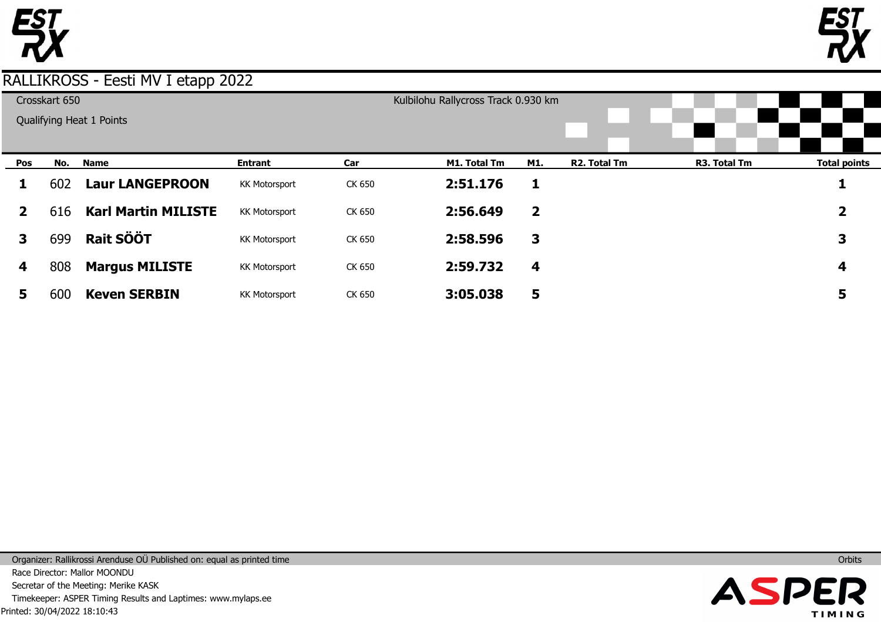



| Crosskart 650            |     |                            |                      |        | Kulbilohu Rallycross Track 0.930 km |                         |              |              |                     |
|--------------------------|-----|----------------------------|----------------------|--------|-------------------------------------|-------------------------|--------------|--------------|---------------------|
| Qualifying Heat 1 Points |     |                            |                      |        |                                     |                         |              |              |                     |
|                          |     |                            |                      |        |                                     |                         |              |              |                     |
| Pos                      | No. | <b>Name</b>                | <b>Entrant</b>       | Car    | M1. Total Tm                        | M1.                     | R2. Total Tm | R3. Total Tm | <b>Total points</b> |
| ı                        | 602 | <b>Laur LANGEPROON</b>     | <b>KK Motorsport</b> | CK 650 | 2:51.176                            | 1                       |              |              |                     |
| $\mathbf{2}$             | 616 | <b>Karl Martin MILISTE</b> | <b>KK Motorsport</b> | CK 650 | 2:56.649                            | $\overline{\mathbf{2}}$ |              |              | 2                   |
| 3                        | 699 | <b>Rait SÖÖT</b>           | <b>KK Motorsport</b> | CK 650 | 2:58.596                            | 3                       |              |              | 3                   |
| 4                        | 808 | <b>Margus MILISTE</b>      | <b>KK Motorsport</b> | CK 650 | 2:59.732                            | 4                       |              |              | 4                   |
| 5                        | 600 | <b>Keven SERBIN</b>        | <b>KK Motorsport</b> | CK 650 | 3:05.038                            | 5                       |              |              | 5                   |

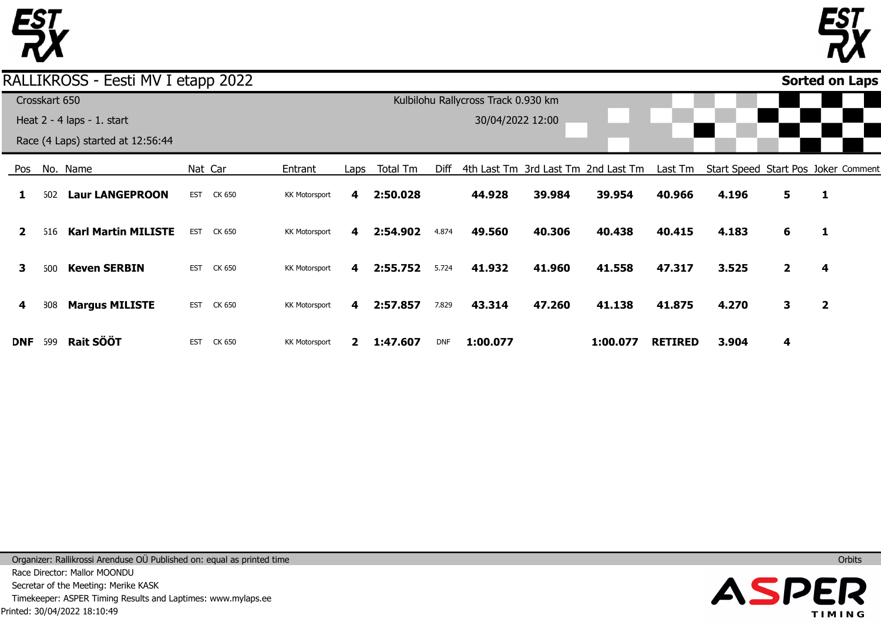



### Pos **1 2 3 4 DNF** No. Name 602 **Laur LANGEPROON** 616 **Karl Martin MILISTE** 600 808 699 **Keven SERBIN Margus MILISTE Rait SÖÖT** Nat Car EST CK 650 EST CK 650 EST CK 650 EST CK 650 EST CK 650 Entrant KK Motorsport KK Motorsport KK Motorsport KK Motorsport KK Motorsport Laps **4 4 4 4 2 1:47.607** Total Tm **2:50.028 2:54.902 2:55.752 2:57.857** Diff 4th Last Tm 3rd Last Tm 2nd Last Tm 4.874 5.724 7.829 DNF **44.928 49.560 41.932 43.314 1:00.077 39.984 40.306 41.960 47.260 39.954 40.438 41.558 41.138 1:00.077** Last Tm Start Speed Start Pos Joker Comment **40.966 40.415 47.317 41.875 RETIRED 4.196 4.183 3.525 4.270 3.904 5 6 2 3 4 1 1 4 2 Sorted on Laps**RALLIKROSS - Eesti MV I etapp 2022 Crosskart 650 Heat 2 - 4 laps - 1. start Race (4 Laps) started at 12:56:44 Kulbilohu Rallycross Track 0.930 km 30/04/2022 12:00

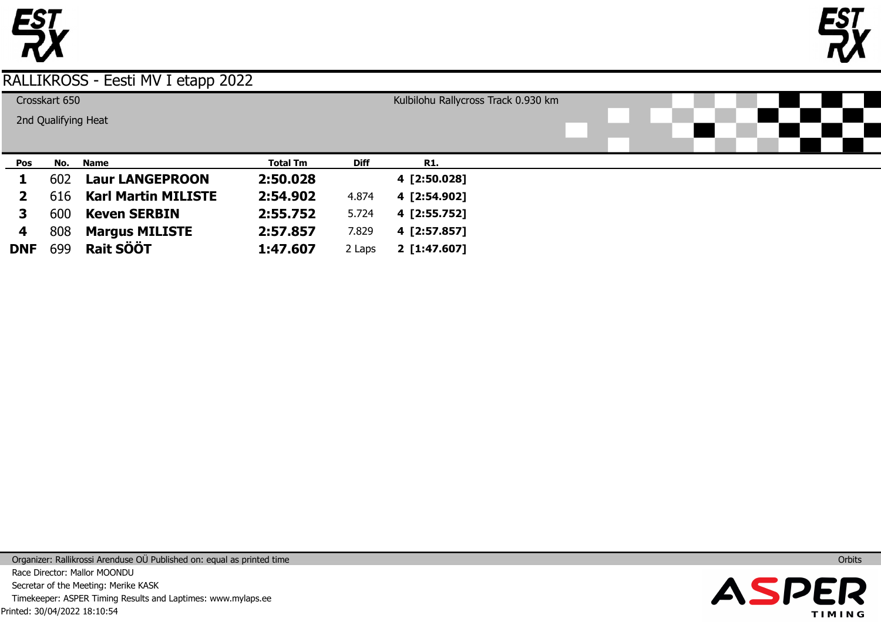



| Crosskart 650       |     |                            |                 |             | Kulbilohu Rallycross Track 0.930 km |  |  |  |  |  |  |  |  |  |  |
|---------------------|-----|----------------------------|-----------------|-------------|-------------------------------------|--|--|--|--|--|--|--|--|--|--|
| 2nd Qualifying Heat |     |                            |                 |             |                                     |  |  |  |  |  |  |  |  |  |  |
|                     |     |                            |                 |             |                                     |  |  |  |  |  |  |  |  |  |  |
|                     |     |                            |                 |             |                                     |  |  |  |  |  |  |  |  |  |  |
| Pos                 | No. | <b>Name</b>                | <b>Total Tm</b> | <b>Diff</b> | <b>R1.</b>                          |  |  |  |  |  |  |  |  |  |  |
|                     | 602 | <b>Laur LANGEPROON</b>     | 2:50.028        |             | 4 [2:50.028]                        |  |  |  |  |  |  |  |  |  |  |
|                     | 616 | <b>Karl Martin MILISTE</b> | 2:54.902        | 4.874       | 4 [2:54.902]                        |  |  |  |  |  |  |  |  |  |  |
| 3                   | 600 | <b>Keven SERBIN</b>        | 2:55.752        | 5.724       | 4 [2:55.752]                        |  |  |  |  |  |  |  |  |  |  |
| 4                   | 808 | <b>Margus MILISTE</b>      | 2:57.857        | 7.829       | 4 [2:57.857]                        |  |  |  |  |  |  |  |  |  |  |
| <b>DNF</b>          | 699 | <b>Rait SÖÖT</b>           | 1:47.607        | 2 Laps      | 2 [1:47.607]                        |  |  |  |  |  |  |  |  |  |  |

Printed: 30/04/2022 18:10:54 Organizer: Rallikrossi Arenduse OÜ Published on: equal as printed time Race Director: Mallor MOONDU Secretar of the Meeting: Merike KASK Timekeeper: ASPER Timing Results and Laptimes: www.mylaps.ee

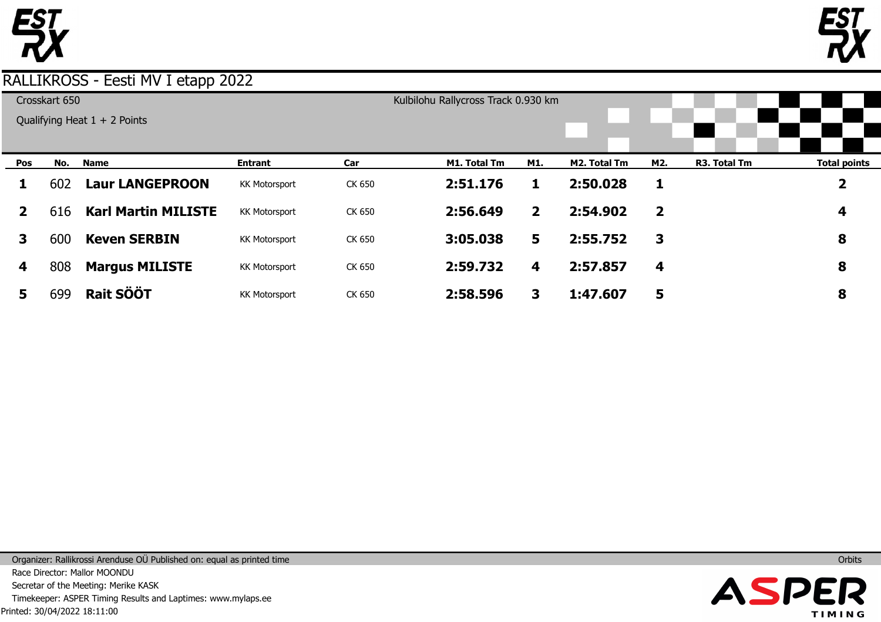



| Crosskart 650 |     |                                |                      |        | Kulbilohu Rallycross Track 0.930 km |                |              |                |              |                         |
|---------------|-----|--------------------------------|----------------------|--------|-------------------------------------|----------------|--------------|----------------|--------------|-------------------------|
|               |     | Qualifying Heat $1 + 2$ Points |                      |        |                                     |                |              |                |              |                         |
|               |     |                                |                      |        |                                     |                |              |                |              |                         |
|               |     |                                |                      |        |                                     |                |              |                |              |                         |
| Pos           | No. | <b>Name</b>                    | <b>Entrant</b>       | Car    | M1. Total Tm                        | M1.            | M2. Total Tm | M2.            | R3. Total Tm | <b>Total points</b>     |
| 1             | 602 | <b>Laur LANGEPROON</b>         | <b>KK Motorsport</b> | CK 650 | 2:51.176                            |                | 2:50.028     | 1              |              | $\overline{\mathbf{2}}$ |
| $\mathbf{2}$  | 616 | <b>Karl Martin MILISTE</b>     | <b>KK Motorsport</b> | CK 650 | 2:56.649                            | $\overline{2}$ | 2:54.902     | $\overline{2}$ |              | 4                       |
| 3             | 600 | <b>Keven SERBIN</b>            | <b>KK Motorsport</b> | CK 650 | 3:05.038                            | 5              | 2:55.752     | 3              |              | 8                       |
| 4             | 808 | <b>Margus MILISTE</b>          | <b>KK Motorsport</b> | CK 650 | 2:59.732                            | 4              | 2:57.857     | 4              |              | 8                       |
| 5             | 699 | <b>Rait SÖÖT</b>               | <b>KK Motorsport</b> | CK 650 | 2:58.596                            | 3              | 1:47.607     | 5              |              | 8                       |

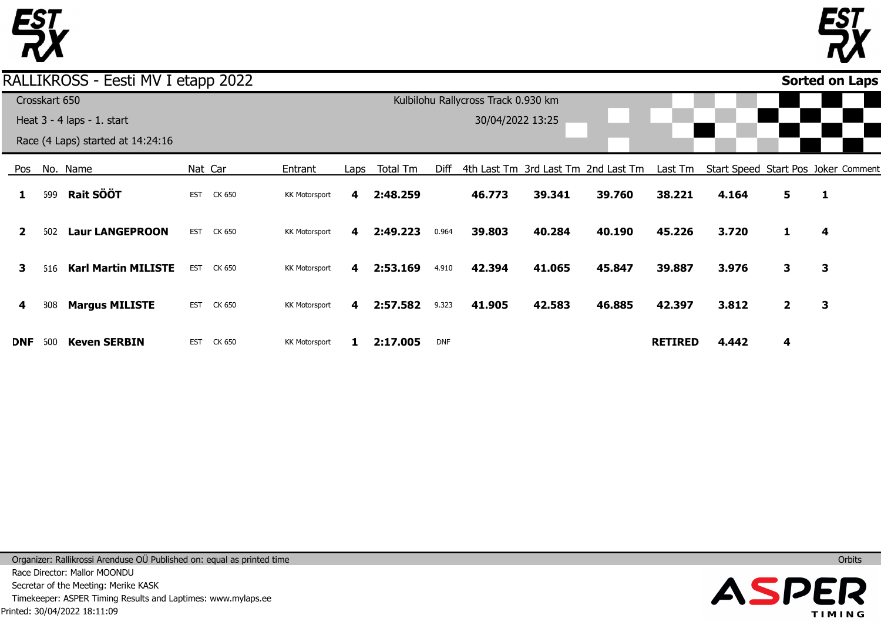



### Pos **1 2 3 4 DNF** No. Name 699 602 **Laur LANGEPROON** 616 **Karl Martin MILISTE** 808 600 **Rait SÖÖT Margus MILISTE Keven SERBIN** Nat Car EST CK 650 EST CK 650 EST CK 650 EST CK 650 EST CK 650 Entrant KK Motorsport KK Motorsport KK Motorsport KK Motorsport KK Motorsport Laps **4 4 4 4 1** Total Tm **2:48.259 2:49.223 2:53.169 2:57.582 2:17.005** Diff 4th Last Tm 3rd Last Tm 2nd Last Tm 0.964 4.910 9.323 DNF **46.773 39.803 42.394 41.905 39.341 40.284 41.065 42.583 39.760 40.190 45.847 46.885** Last Tm Start Speed Start Pos Joker Comment **38.221 45.226 39.887 42.397 RETIRED 4.164 3.720 3.976 3.812 4.442 5 1 3 2 4 1 4 3 3 Sorted on Laps**RALLIKROSS - Eesti MV I etapp 2022 Crosskart 650 Heat 3 - 4 laps - 1. start Race (4 Laps) started at 14:24:16 Kulbilohu Rallycross Track 0.930 km 30/04/2022 13:25

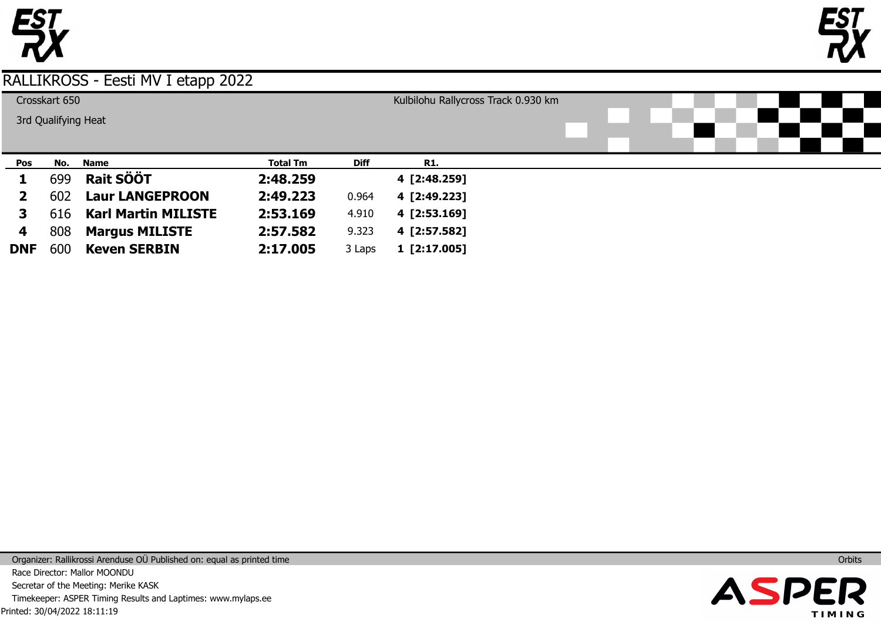



| Crosskart 650       |     |                            |                 |             | Kulbilohu Rallycross Track 0.930 km |  |  |  |  |  |  |  |  |  |
|---------------------|-----|----------------------------|-----------------|-------------|-------------------------------------|--|--|--|--|--|--|--|--|--|
| 3rd Qualifying Heat |     |                            |                 |             |                                     |  |  |  |  |  |  |  |  |  |
|                     |     |                            |                 |             |                                     |  |  |  |  |  |  |  |  |  |
|                     |     |                            |                 |             |                                     |  |  |  |  |  |  |  |  |  |
| Pos                 | No. | <b>Name</b>                | <b>Total Tm</b> | <b>Diff</b> | R1.                                 |  |  |  |  |  |  |  |  |  |
|                     | 699 | Rait SÖÖT                  | 2:48.259        |             | 4 [2:48.259]                        |  |  |  |  |  |  |  |  |  |
| 2                   | 602 | <b>Laur LANGEPROON</b>     | 2:49.223        | 0.964       | 4 [2:49.223]                        |  |  |  |  |  |  |  |  |  |
| 3                   | 616 | <b>Karl Martin MILISTE</b> | 2:53.169        | 4.910       | 4 [2:53.169]                        |  |  |  |  |  |  |  |  |  |
| 4                   | 808 | <b>Margus MILISTE</b>      | 2:57.582        | 9.323       | 4 [2:57.582]                        |  |  |  |  |  |  |  |  |  |
| <b>DNF</b>          | 600 | <b>Keven SERBIN</b>        | 2:17.005        | 3 Laps      | 1 [2:17.005]                        |  |  |  |  |  |  |  |  |  |

Printed: 30/04/2022 18:11:19 Organizer: Rallikrossi Arenduse OÜ Published on: equal as printed time Race Director: Mallor MOONDU Secretar of the Meeting: Merike KASK Timekeeper: ASPER Timing Results and Laptimes: www.mylaps.ee

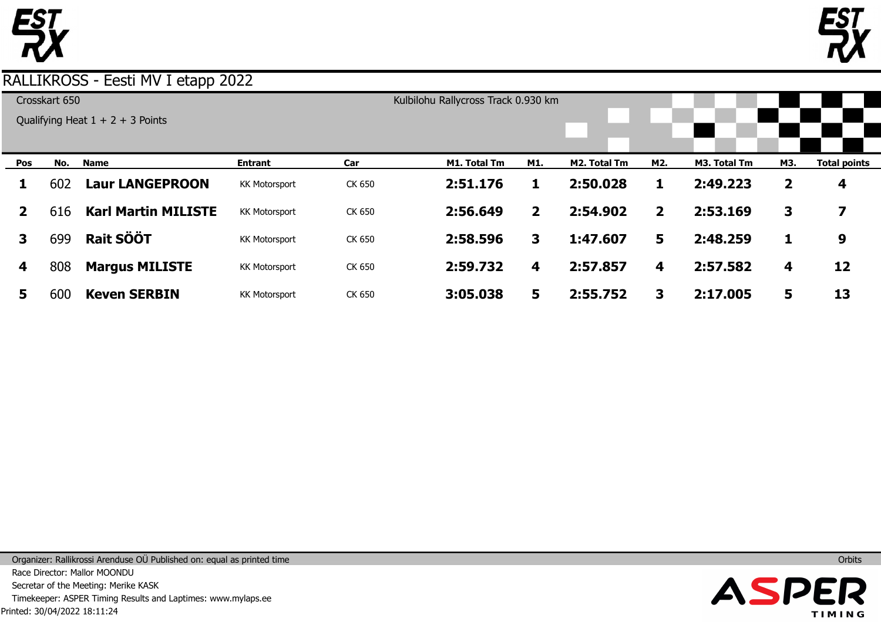



| Crosskart 650 |     |                                    |                      |        | Kulbilohu Rallycross Track 0.930 km |                         |              |              |              |     |                         |
|---------------|-----|------------------------------------|----------------------|--------|-------------------------------------|-------------------------|--------------|--------------|--------------|-----|-------------------------|
|               |     | Qualifying Heat $1 + 2 + 3$ Points |                      |        |                                     |                         |              |              |              |     |                         |
|               |     |                                    |                      |        |                                     |                         |              |              |              |     |                         |
|               |     |                                    |                      |        |                                     |                         |              |              |              |     |                         |
| Pos           | No. | <b>Name</b>                        | <b>Entrant</b>       | Car    | M1. Total Tm                        | M1.                     | M2. Total Tm | M2.          | M3. Total Tm | M3. | <b>Total points</b>     |
| 1             | 602 | <b>Laur LANGEPROON</b>             | <b>KK Motorsport</b> | CK 650 | 2:51.176                            |                         | 2:50.028     | 1            | 2:49.223     | 2   | 4                       |
| $\mathbf{2}$  | 616 | <b>Karl Martin MILISTE</b>         | <b>KK Motorsport</b> | CK 650 | 2:56.649                            | $\overline{\mathbf{2}}$ | 2:54.902     | $\mathbf{2}$ | 2:53.169     | 3   | $\overline{\mathbf{z}}$ |
| 3             | 699 | <b>Rait SÖÖT</b>                   | <b>KK Motorsport</b> | CK 650 | 2:58.596                            | 3                       | 1:47.607     | 5            | 2:48.259     |     | 9                       |
| 4             | 808 | <b>Margus MILISTE</b>              | <b>KK Motorsport</b> | CK 650 | 2:59.732                            | 4                       | 2:57.857     | 4            | 2:57.582     | 4   | 12                      |
| 5             | 600 | <b>Keven SERBIN</b>                | <b>KK Motorsport</b> | CK 650 | 3:05.038                            | 5                       | 2:55.752     | 3            | 2:17.005     | 5   | 13                      |